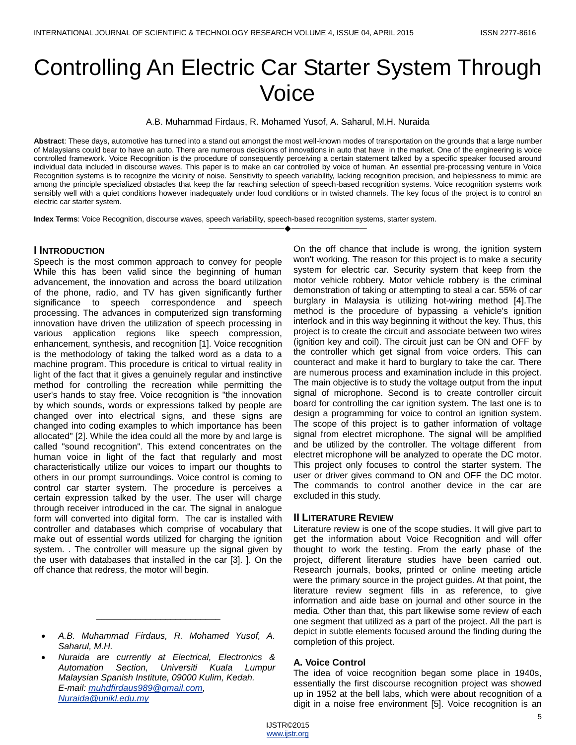# Controlling An Electric Car Starter System Through Voice

A.B. Muhammad Firdaus, R. Mohamed Yusof, A. Saharul, M.H. Nuraida

**Abstract**: These days, automotive has turned into a stand out amongst the most well-known modes of transportation on the grounds that a large number of Malaysians could bear to have an auto. There are numerous decisions of innovations in auto that have in the market. One of the engineering is voice controlled framework. Voice Recognition is the procedure of consequently perceiving a certain statement talked by a specific speaker focused around individual data included in discourse waves. This paper is to make an car controlled by voice of human. An essential pre-processing venture in Voice Recognition systems is to recognize the vicinity of noise. Sensitivity to speech variability, lacking recognition precision, and helplessness to mimic are among the principle specialized obstacles that keep the far reaching selection of speech-based recognition systems. Voice recognition systems work sensibly well with a quiet conditions however inadequately under loud conditions or in twisted channels. The key focus of the project is to control an electric car starter system.

————————————————————

**Index Terms**: Voice Recognition, discourse waves, speech variability, speech-based recognition systems, starter system.

## **I INTRODUCTION**

Speech is the most common approach to convey for people While this has been valid since the beginning of human advancement, the innovation and across the board utilization of the phone, radio, and TV has given significantly further significance to speech correspondence and speech processing. The advances in computerized sign transforming innovation have driven the utilization of speech processing in various application regions like speech compression, enhancement, synthesis, and recognition [1]. Voice recognition is the methodology of taking the talked word as a data to a machine program. This procedure is critical to virtual reality in light of the fact that it gives a genuinely regular and instinctive method for controlling the recreation while permitting the user's hands to stay free. Voice recognition is "the innovation by which sounds, words or expressions talked by people are changed over into electrical signs, and these signs are changed into coding examples to which importance has been allocated" [2]. While the idea could all the more by and large is called "sound recognition". This extend concentrates on the human voice in light of the fact that regularly and most characteristically utilize our voices to impart our thoughts to others in our prompt surroundings. Voice control is coming to control car starter system. The procedure is perceives a certain expression talked by the user. The user will charge through receiver introduced in the car. The signal in analogue form will converted into digital form. The car is installed with controller and databases which comprise of vocabulary that make out of essential words utilized for charging the ignition system. . The controller will measure up the signal given by the user with databases that installed in the car [3]. ]. On the off chance that redress, the motor will begin.

 *A.B. Muhammad Firdaus, R. Mohamed Yusof, A. Saharul, M.H.*

\_\_\_\_\_\_\_\_\_\_\_\_\_\_\_\_\_\_\_\_\_\_\_\_\_

 *Nuraida are currently at Electrical, Electronics & Automation Section, Universiti Kuala Lumpur Malaysian Spanish Institute, 09000 Kulim, Kedah. E-mail: [muhdfirdaus989@gmail.com,](mailto:muhdfirdaus989@gmail.com) [Nuraida@unikl.edu.my](mailto:Nuraida@unikl.edu.my)*

On the off chance that include is wrong, the ignition system won't working. The reason for this project is to make a security system for electric car. Security system that keep from the motor vehicle robbery. Motor vehicle robbery is the criminal demonstration of taking or attempting to steal a car. 55% of car burglary in Malaysia is utilizing hot-wiring method [4].The method is the procedure of bypassing a vehicle's ignition interlock and in this way beginning it without the key. Thus, this project is to create the circuit and associate between two wires (ignition key and coil). The circuit just can be ON and OFF by the controller which get signal from voice orders. This can counteract and make it hard to burglary to take the car. There are numerous process and examination include in this project. The main objective is to study the voltage output from the input signal of microphone. Second is to create controller circuit board for controlling the car ignition system. The last one is to design a programming for voice to control an ignition system. The scope of this project is to gather information of voltage signal from electret microphone. The signal will be amplified and be utilized by the controller. The voltage different from electret microphone will be analyzed to operate the DC motor. This project only focuses to control the starter system. The user or driver gives command to ON and OFF the DC motor. The commands to control another device in the car are excluded in this study.

## **II LITERATURE REVIEW**

Literature review is one of the scope studies. It will give part to get the information about Voice Recognition and will offer thought to work the testing. From the early phase of the project, different literature studies have been carried out. Research journals, books, printed or online meeting article were the primary source in the project guides. At that point, the literature review segment fills in as reference, to give information and aide base on journal and other source in the media. Other than that, this part likewise some review of each one segment that utilized as a part of the project. All the part is depict in subtle elements focused around the finding during the completion of this project.

## **A. Voice Control**

The idea of voice recognition began some place in 1940s, essentially the first discourse recognition project was showed up in 1952 at the bell labs, which were about recognition of a digit in a noise free environment [5]. Voice recognition is an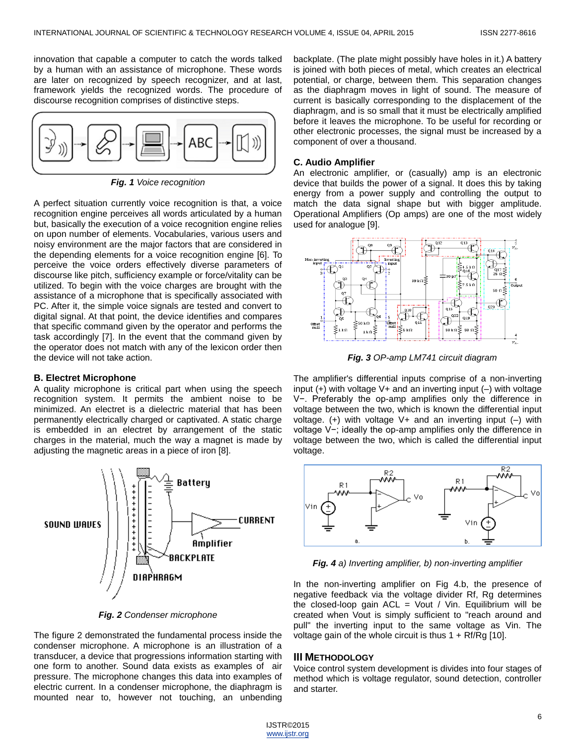innovation that capable a computer to catch the words talked by a human with an assistance of microphone. These words are later on recognized by speech recognizer, and at last, framework yields the recognized words. The procedure of discourse recognition comprises of distinctive steps.



*Fig. 1 Voice recognition*

A perfect situation currently voice recognition is that, a voice recognition engine perceives all words articulated by a human but, basically the execution of a voice recognition engine relies on upon number of elements. Vocabularies, various users and noisy environment are the major factors that are considered in the depending elements for a voice recognition engine [6]. To perceive the voice orders effectively diverse parameters of discourse like pitch, sufficiency example or force/vitality can be utilized. To begin with the voice charges are brought with the assistance of a microphone that is specifically associated with PC. After it, the simple voice signals are tested and convert to digital signal. At that point, the device identifies and compares that specific command given by the operator and performs the task accordingly [7]. In the event that the command given by the operator does not match with any of the lexicon order then the device will not take action.

## **B. Electret Microphone**

A quality microphone is critical part when using the speech recognition system. It permits the ambient noise to be minimized. An electret is a dielectric material that has been permanently electrically charged or captivated. A static charge is embedded in an electret by arrangement of the static charges in the material, much the way a magnet is made by adjusting the magnetic areas in a piece of iron [8].



*Fig. 2 Condenser microphone*

The figure 2 demonstrated the fundamental process inside the condenser microphone. A microphone is an illustration of a transducer, a device that progressions information starting with one form to another. Sound data exists as examples of air pressure. The microphone changes this data into examples of electric current. In a condenser microphone, the diaphragm is mounted near to, however not touching, an unbending

backplate. (The plate might possibly have holes in it.) A battery is joined with both pieces of metal, which creates an electrical potential, or charge, between them. This separation changes as the diaphragm moves in light of sound. The measure of current is basically corresponding to the displacement of the diaphragm, and is so small that it must be electrically amplified before it leaves the microphone. To be useful for recording or other electronic processes, the signal must be increased by a component of over a thousand.

## **C. Audio Amplifier**

An electronic amplifier, or (casually) amp is an electronic device that builds the power of a signal. It does this by taking energy from a power supply and controlling the output to match the data signal shape but with bigger amplitude. Operational Amplifiers (Op amps) are one of the most widely used for analogue [9].



*Fig. 3 OP-amp LM741 circuit diagram*

The amplifier's differential inputs comprise of a non-inverting input  $(+)$  with voltage V + and an inverting input  $(-)$  with voltage V−. Preferably the op-amp amplifies only the difference in voltage between the two, which is known the differential input voltage.  $(+)$  with voltage V+ and an inverting input  $(-)$  with voltage V−; ideally the op-amp amplifies only the difference in voltage between the two, which is called the differential input voltage.



*Fig. 4 a) Inverting amplifier, b) non-inverting amplifier*

In the non-inverting amplifier on Fig 4.b, the presence of negative feedback via the voltage divider Rf, Rg determines the closed-loop gain  $ACL =$  Vout / Vin. Equilibrium will be created when Vout is simply sufficient to "reach around and pull" the inverting input to the same voltage as Vin. The voltage gain of the whole circuit is thus  $1 + Rf/Rg$  [10].

## **III METHODOLOGY**

Voice control system development is divides into four stages of method which is voltage regulator, sound detection, controller and starter.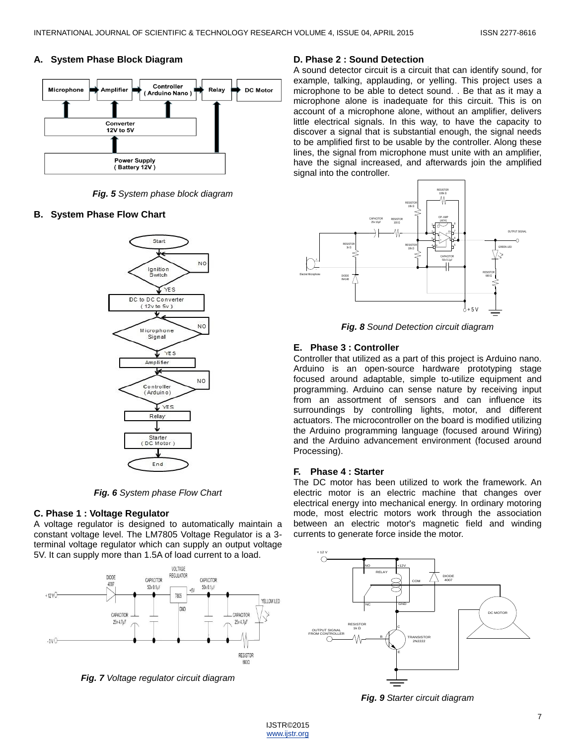# **A. System Phase Block Diagram**



*Fig. 5 System phase block diagram*

# **B. System Phase Flow Chart**



*Fig. 6 System phase Flow Chart*

# **C. Phase 1 : Voltage Regulator**

A voltage regulator is designed to automatically maintain a constant voltage level. The LM7805 Voltage Regulator is a 3 terminal voltage regulator which can supply an output voltage 5V. It can supply more than 1.5A of load current to a load.



*Fig. 7 Voltage regulator circuit diagram* 

# **D. Phase 2 : Sound Detection**

A sound detector circuit is a circuit that can identify sound, for example, talking, applauding, or yelling. This project uses a microphone to be able to detect sound. . Be that as it may a microphone alone is inadequate for this circuit. This is on account of a microphone alone, without an amplifier, delivers little electrical signals. In this way, to have the capacity to discover a signal that is substantial enough, the signal needs to be amplified first to be usable by the controller. Along these lines, the signal from microphone must unite with an amplifier, have the signal increased, and afterwards join the amplified signal into the controller.



*Fig. 8 Sound Detection circuit diagram*

# **E. Phase 3 : Controller**

Controller that utilized as a part of this project is Arduino nano. Arduino is an open-source hardware prototyping stage focused around adaptable, simple to-utilize equipment and programming. Arduino can sense nature by receiving input from an assortment of sensors and can influence its surroundings by controlling lights, motor, and different actuators. The microcontroller on the board is modified utilizing the Arduino programming language (focused around Wiring) and the Arduino advancement environment (focused around Processing).

# **F. Phase 4 : Starter**

The DC motor has been utilized to work the framework. An electric motor is an electric machine that changes over electrical energy into mechanical energy. In ordinary motoring mode, most electric motors work through the association between an electric motor's magnetic field and winding currents to generate force inside the motor.



*Fig. 9 Starter circuit diagram*

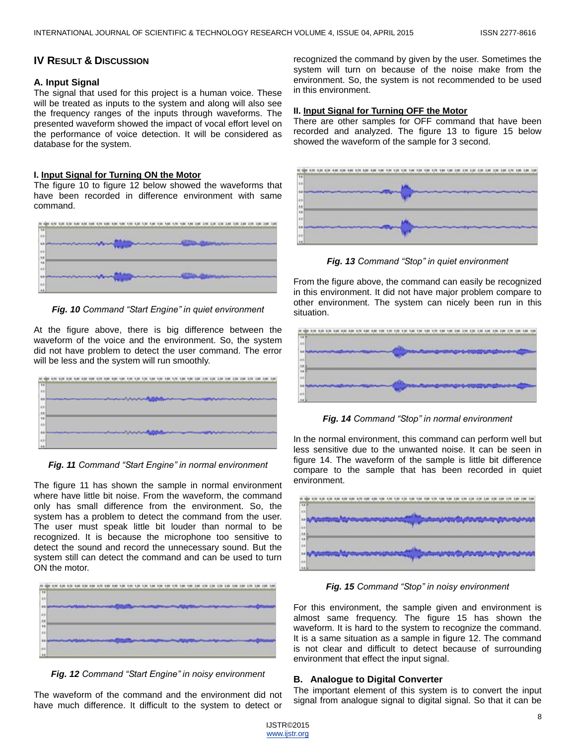## **IV RESULT & DISCUSSION**

## **A. Input Signal**

The signal that used for this project is a human voice. These will be treated as inputs to the system and along will also see the frequency ranges of the inputs through waveforms. The presented waveform showed the impact of vocal effort level on the performance of voice detection. It will be considered as database for the system.

#### **I. Input Signal for Turning ON the Motor**

The figure 10 to figure 12 below showed the waveforms that have been recorded in difference environment with same command.



*Fig. 10 Command "Start Engine" in quiet environment*

At the figure above, there is big difference between the waveform of the voice and the environment. So, the system did not have problem to detect the user command. The error will be less and the system will run smoothly.



*Fig. 11 Command "Start Engine" in normal environment*

The figure 11 has shown the sample in normal environment where have little bit noise. From the waveform, the command only has small difference from the environment. So, the system has a problem to detect the command from the user. The user must speak little bit louder than normal to be recognized. It is because the microphone too sensitive to detect the sound and record the unnecessary sound. But the system still can detect the command and can be used to turn ON the motor.

|               |  | the state of the state of the state of |  |  |  |  |  |  |  |  |  |  |  |  |
|---------------|--|----------------------------------------|--|--|--|--|--|--|--|--|--|--|--|--|
| E             |  |                                        |  |  |  |  |  |  |  |  |  |  |  |  |
|               |  |                                        |  |  |  |  |  |  |  |  |  |  |  |  |
|               |  |                                        |  |  |  |  |  |  |  |  |  |  |  |  |
| 444           |  |                                        |  |  |  |  |  |  |  |  |  |  |  |  |
|               |  |                                        |  |  |  |  |  |  |  |  |  |  |  |  |
|               |  |                                        |  |  |  |  |  |  |  |  |  |  |  |  |
| $\frac{1}{2}$ |  |                                        |  |  |  |  |  |  |  |  |  |  |  |  |
|               |  |                                        |  |  |  |  |  |  |  |  |  |  |  |  |

*Fig. 12 Command "Start Engine" in noisy environment*

The waveform of the command and the environment did not have much difference. It difficult to the system to detect or recognized the command by given by the user. Sometimes the system will turn on because of the noise make from the environment. So, the system is not recommended to be used in this environment.

## **II. Input Signal for Turning OFF the Motor**

There are other samples for OFF command that have been recorded and analyzed. The figure 13 to figure 15 below showed the waveform of the sample for 3 second.



*Fig. 13 Command "Stop" in quiet environment*

From the figure above, the command can easily be recognized in this environment. It did not have major problem compare to other environment. The system can nicely been run in this situation.



*Fig. 14 Command "Stop" in normal environment*

In the normal environment, this command can perform well but less sensitive due to the unwanted noise. It can be seen in figure 14. The waveform of the sample is little bit difference compare to the sample that has been recorded in quiet environment.



*Fig. 15 Command "Stop" in noisy environment*

For this environment, the sample given and environment is almost same frequency. The figure 15 has shown the waveform. It is hard to the system to recognize the command. It is a same situation as a sample in figure 12. The command is not clear and difficult to detect because of surrounding environment that effect the input signal.

## **B. Analogue to Digital Converter**

The important element of this system is to convert the input signal from analogue signal to digital signal. So that it can be